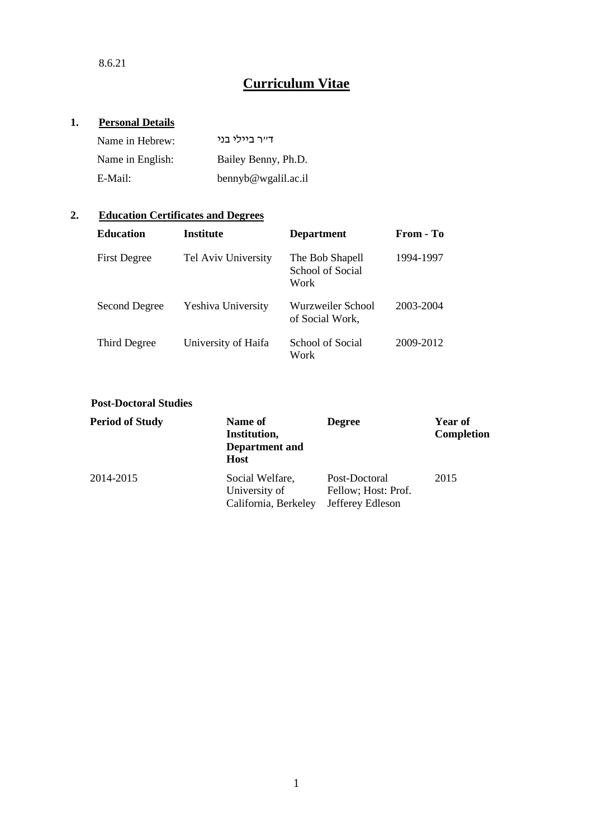# **1. Personal Details**

| Name in Hebrew:  | דייר ביולי בני      |
|------------------|---------------------|
| Name in English: | Bailey Benny, Ph.D. |
| E-Mail:          | bennyb@wgalil.ac.il |

# **2. Education Certificates and Degrees**

| <b>Education</b>    | <b>Institute</b>          | <b>Department</b>                           | From - To |
|---------------------|---------------------------|---------------------------------------------|-----------|
| <b>First Degree</b> | Tel Aviv University       | The Bob Shapell<br>School of Social<br>Work | 1994-1997 |
| Second Degree       | <b>Yeshiva University</b> | Wurzweiler School<br>of Social Work,        | 2003-2004 |
| Third Degree        | University of Haifa       | School of Social<br>Work                    | 2009-2012 |

# **Post-Doctoral Studies**

| <b>Period of Study</b> | Name of<br>Institution,<br><b>Department</b> and<br><b>Host</b> | <b>Degree</b>                                            | Year of<br><b>Completion</b> |
|------------------------|-----------------------------------------------------------------|----------------------------------------------------------|------------------------------|
| 2014-2015              | Social Welfare,<br>University of<br>California, Berkeley        | Post-Doctoral<br>Fellow; Host: Prof.<br>Jefferey Edleson | 2015                         |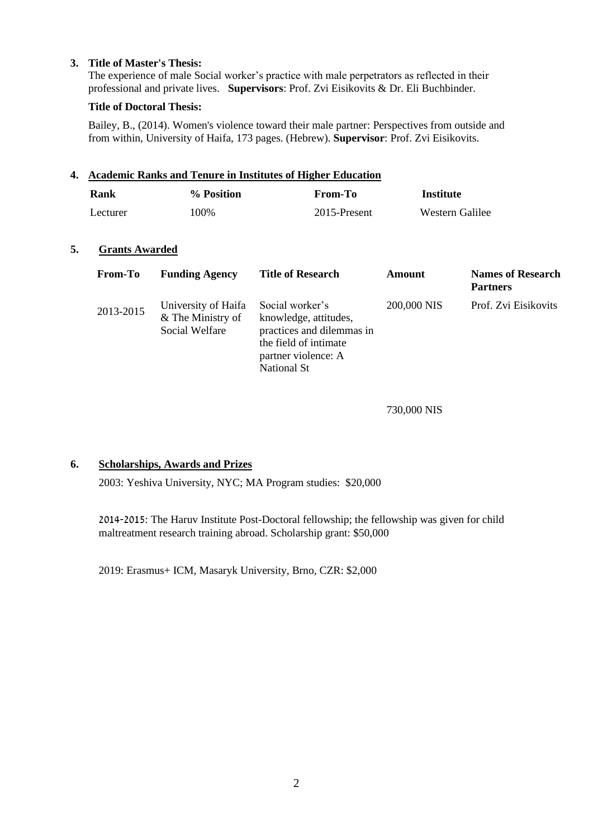### **3. Title of Master's Thesis:**

The experience of male Social worker's practice with male perpetrators as reflected in their professional and private lives. **Supervisors**: Prof. Zvi Eisikovits & Dr. Eli Buchbinder.

### **Title of Doctoral Thesis:**

Bailey, B., (2014). Women's violence toward their male partner: Perspectives from outside and from within, University of Haifa, 173 pages. (Hebrew). **Supervisor**: Prof. Zvi Eisikovits.

### **4. Academic Ranks and Tenure in Institutes of Higher Education**

| Rank     | % Position | From-To      | Institute       |
|----------|------------|--------------|-----------------|
| Lecturer | 100%       | 2015-Present | Western Galilee |

### **5. Grants Awarded**

| <b>From-To</b> | <b>Funding Agency</b>                                      | <b>Title of Research</b>                                                                                                                    | Amount      | <b>Names of Research</b><br><b>Partners</b> |
|----------------|------------------------------------------------------------|---------------------------------------------------------------------------------------------------------------------------------------------|-------------|---------------------------------------------|
| 2013-2015      | University of Haifa<br>& The Ministry of<br>Social Welfare | Social worker's<br>knowledge, attitudes,<br>practices and dilemmas in<br>the field of intimate<br>partner violence: A<br><b>National St</b> | 200,000 NIS | Prof. Zvi Eisikovits                        |

730,000 NIS

### **6. Scholarships, Awards and Prizes**

2003: Yeshiva University, NYC; MA Program studies: \$20,000

2014-2015: The Haruv Institute Post-Doctoral fellowship; the fellowship was given for child maltreatment research training abroad. Scholarship grant: \$50,000

2019: Erasmus+ ICM, Masaryk University, Brno, CZR: \$2,000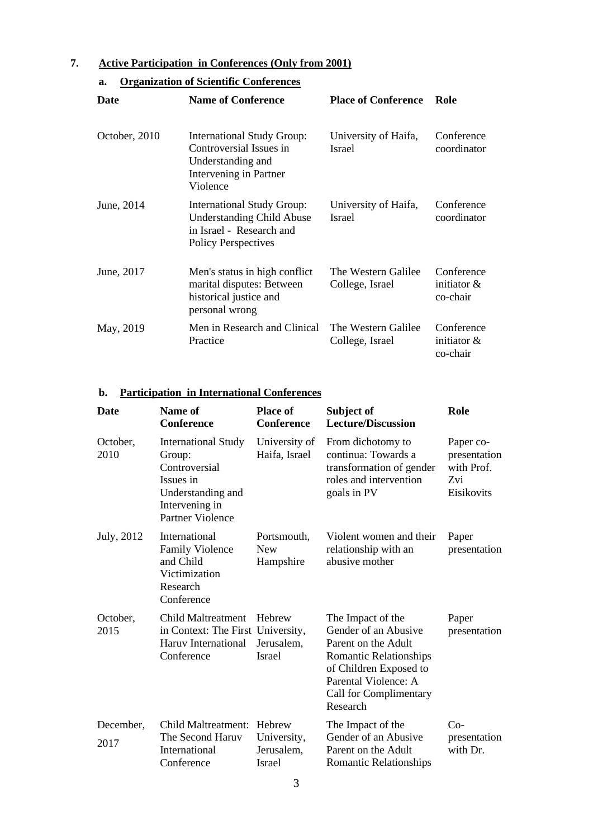# **7. Active Participation in Conferences (Only from 2001)**

# **a. Organization of Scientific Conferences**

| Date          | <b>Name of Conference</b>                                                                                                       | <b>Place of Conference</b>             | Role                                     |
|---------------|---------------------------------------------------------------------------------------------------------------------------------|----------------------------------------|------------------------------------------|
| October, 2010 | <b>International Study Group:</b><br>Controversial Issues in<br>Understanding and<br>Intervening in Partner<br>Violence         | University of Haifa,<br><b>Israel</b>  | Conference<br>coordinator                |
| June, 2014    | <b>International Study Group:</b><br><b>Understanding Child Abuse</b><br>in Israel - Research and<br><b>Policy Perspectives</b> | University of Haifa,<br><b>Israel</b>  | Conference<br>coordinator                |
| June, 2017    | Men's status in high conflict<br>marital disputes: Between<br>historical justice and<br>personal wrong                          | The Western Galilee<br>College, Israel | Conference<br>initiator $\&$<br>co-chair |
| May, 2019     | Men in Research and Clinical<br>Practice                                                                                        | The Western Galilee<br>College, Israel | Conference<br>initiator $\&$<br>co-chair |

### **b. Participation in International Conferences**

| Date              | Name of<br><b>Conference</b>                                                                                                  | <b>Place of</b><br><b>Conference</b>       | Subject of<br><b>Lecture/Discussion</b>                                                                                                                                                   | Role                                                         |
|-------------------|-------------------------------------------------------------------------------------------------------------------------------|--------------------------------------------|-------------------------------------------------------------------------------------------------------------------------------------------------------------------------------------------|--------------------------------------------------------------|
| October,<br>2010  | <b>International Study</b><br>Group:<br>Controversial<br>Issues in<br>Understanding and<br>Intervening in<br>Partner Violence | University of<br>Haifa, Israel             | From dichotomy to<br>continua: Towards a<br>transformation of gender<br>roles and intervention<br>goals in PV                                                                             | Paper co-<br>presentation<br>with Prof.<br>Zvi<br>Eisikovits |
| July, 2012        | International<br><b>Family Violence</b><br>and Child<br>Victimization<br>Research<br>Conference                               | Portsmouth,<br><b>New</b><br>Hampshire     | Violent women and their<br>relationship with an<br>abusive mother                                                                                                                         | Paper<br>presentation                                        |
| October,<br>2015  | Child Maltreatment<br>in Context: The First University,<br>Haruv International<br>Conference                                  | Hebrew<br>Jerusalem,<br>Israel             | The Impact of the<br>Gender of an Abusive<br>Parent on the Adult<br><b>Romantic Relationships</b><br>of Children Exposed to<br>Parental Violence: A<br>Call for Complimentary<br>Research | Paper<br>presentation                                        |
| December,<br>2017 | Child Maltreatment: Hebrew<br>The Second Haruv<br>International<br>Conference                                                 | University,<br>Jerusalem,<br><b>Israel</b> | The Impact of the<br>Gender of an Abusive<br>Parent on the Adult<br><b>Romantic Relationships</b>                                                                                         | $Co-$<br>presentation<br>with Dr.                            |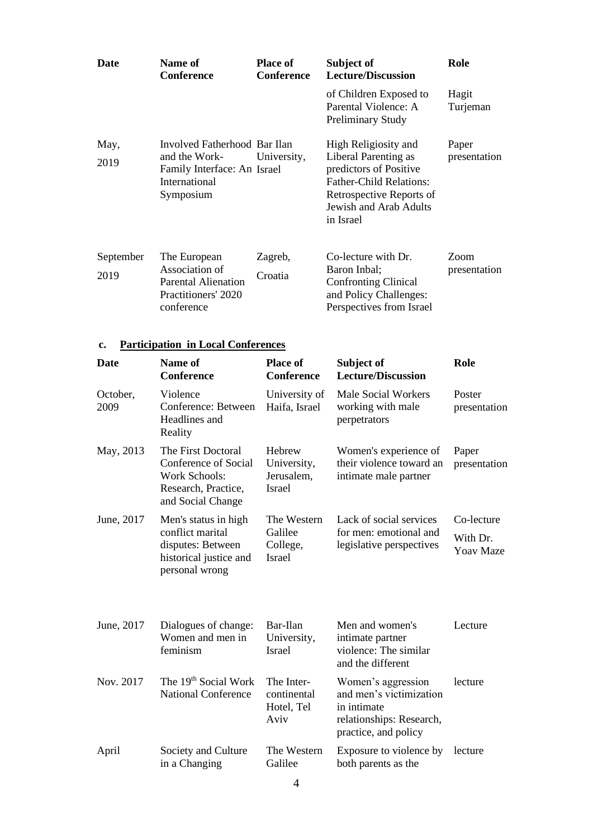| <b>Date</b>       | Name of<br><b>Conference</b>                                                                               | <b>Place of</b><br><b>Conference</b> | Subject of<br><b>Lecture/Discussion</b>                                                                                                                                     | Role                  |
|-------------------|------------------------------------------------------------------------------------------------------------|--------------------------------------|-----------------------------------------------------------------------------------------------------------------------------------------------------------------------------|-----------------------|
|                   |                                                                                                            |                                      | of Children Exposed to<br>Parental Violence: A<br><b>Preliminary Study</b>                                                                                                  | Hagit<br>Turjeman     |
| May,<br>2019      | Involved Fatherhood Bar Ilan<br>and the Work-<br>Family Interface: An Israel<br>International<br>Symposium | University,                          | High Religiosity and<br>Liberal Parenting as<br>predictors of Positive<br><b>Father-Child Relations:</b><br>Retrospective Reports of<br>Jewish and Arab Adults<br>in Israel | Paper<br>presentation |
| September<br>2019 | The European<br>Association of<br><b>Parental Alienation</b><br>Practitioners' 2020<br>conference          | Zagreb,<br>Croatia                   | Co-lecture with Dr.<br>Baron Inbal;<br>Confronting Clinical<br>and Policy Challenges:<br>Perspectives from Israel                                                           | Zoom<br>presentation  |

### **c. Participation in Local Conferences**

| <b>Date</b>      | <b>Name of</b><br><b>Conference</b>                                                                            | <b>Place of</b><br><b>Conference</b>                | Subject of<br><b>Lecture/Discussion</b>                                                                          | Role                                       |
|------------------|----------------------------------------------------------------------------------------------------------------|-----------------------------------------------------|------------------------------------------------------------------------------------------------------------------|--------------------------------------------|
| October,<br>2009 | Violence<br>Conference: Between<br>Headlines and<br>Reality                                                    | University of<br>Haifa, Israel                      | <b>Male Social Workers</b><br>working with male<br>perpetrators                                                  | Poster<br>presentation                     |
| May, 2013        | The First Doctoral<br>Conference of Social<br><b>Work Schools:</b><br>Research, Practice,<br>and Social Change | Hebrew<br>University,<br>Jerusalem,<br>Israel       | Women's experience of<br>their violence toward an<br>intimate male partner                                       | Paper<br>presentation                      |
| June, 2017       | Men's status in high<br>conflict marital<br>disputes: Between<br>historical justice and<br>personal wrong      | The Western<br>Galilee<br>College,<br><b>Israel</b> | Lack of social services<br>for men: emotional and<br>legislative perspectives                                    | Co-lecture<br>With Dr.<br><b>Yoav Maze</b> |
| June, 2017       | Dialogues of change:<br>Women and men in<br>feminism                                                           | Bar-Ilan<br>University,<br>Israel                   | Men and women's<br>intimate partner<br>violence: The similar<br>and the different                                | Lecture                                    |
| Nov. 2017        | The 19 <sup>th</sup> Social Work<br><b>National Conference</b>                                                 | The Inter-<br>continental<br>Hotel, Tel<br>Aviv     | Women's aggression<br>and men's victimization<br>in intimate<br>relationships: Research,<br>practice, and policy | lecture                                    |
| April            | Society and Culture<br>in a Changing                                                                           | The Western<br>Galilee                              | Exposure to violence by<br>both parents as the                                                                   | lecture                                    |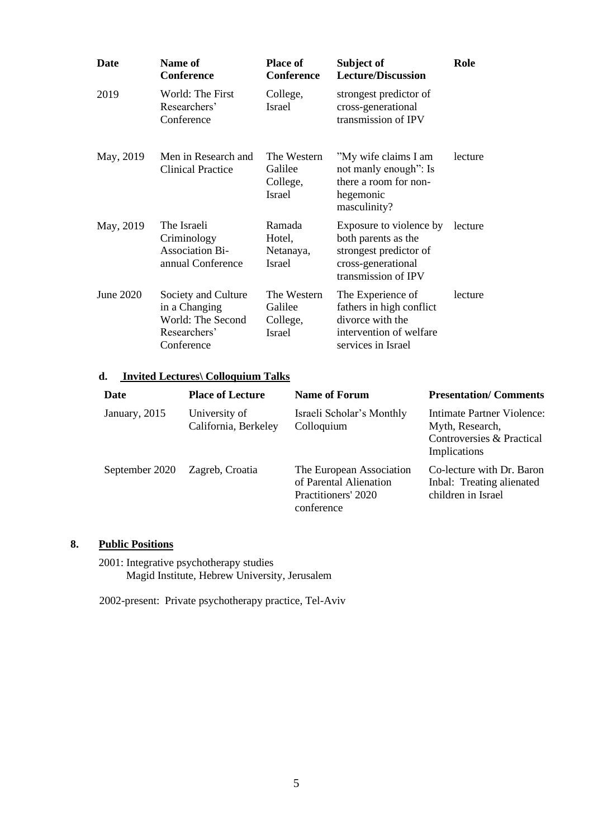| <b>Date</b> | <b>Name of</b><br><b>Conference</b>                                                     | <b>Place of</b><br>Conference                | Subject of<br><b>Lecture/Discussion</b>                                                                               | Role    |
|-------------|-----------------------------------------------------------------------------------------|----------------------------------------------|-----------------------------------------------------------------------------------------------------------------------|---------|
| 2019        | World: The First<br>Researchers'<br>Conference                                          | College,<br>Israel                           | strongest predictor of<br>cross-generational<br>transmission of IPV                                                   |         |
| May, 2019   | Men in Research and<br><b>Clinical Practice</b>                                         | The Western<br>Galilee<br>College,<br>Israel | "My wife claims I am<br>not manly enough": Is<br>there a room for non-<br>hegemonic<br>masculinity?                   | lecture |
| May, 2019   | The Israeli<br>Criminology<br><b>Association Bi-</b><br>annual Conference               | Ramada<br>Hotel,<br>Netanaya,<br>Israel      | Exposure to violence by<br>both parents as the<br>strongest predictor of<br>cross-generational<br>transmission of IPV | lecture |
| June 2020   | Society and Culture<br>in a Changing<br>World: The Second<br>Researchers'<br>Conference | The Western<br>Galilee<br>College,<br>Israel | The Experience of<br>fathers in high conflict<br>divorce with the<br>intervention of welfare<br>services in Israel    | lecture |

### **d. Invited Lectures\ Colloquium Talks**

| <b>Date</b>    | <b>Place of Lecture</b>               | <b>Name of Forum</b>                                                                    | <b>Presentation/Comments</b>                                                                      |
|----------------|---------------------------------------|-----------------------------------------------------------------------------------------|---------------------------------------------------------------------------------------------------|
| January, 2015  | University of<br>California, Berkeley | Israeli Scholar's Monthly<br>Colloquium                                                 | <b>Intimate Partner Violence:</b><br>Myth, Research,<br>Controversies & Practical<br>Implications |
| September 2020 | Zagreb, Croatia                       | The European Association<br>of Parental Alienation<br>Practitioners' 2020<br>conference | Co-lecture with Dr. Baron<br>Inbal: Treating alienated<br>children in Israel                      |

# **8. Public Positions**

2001: Integrative psychotherapy studies Magid Institute, Hebrew University, Jerusalem

2002-present: Private psychotherapy practice, Tel-Aviv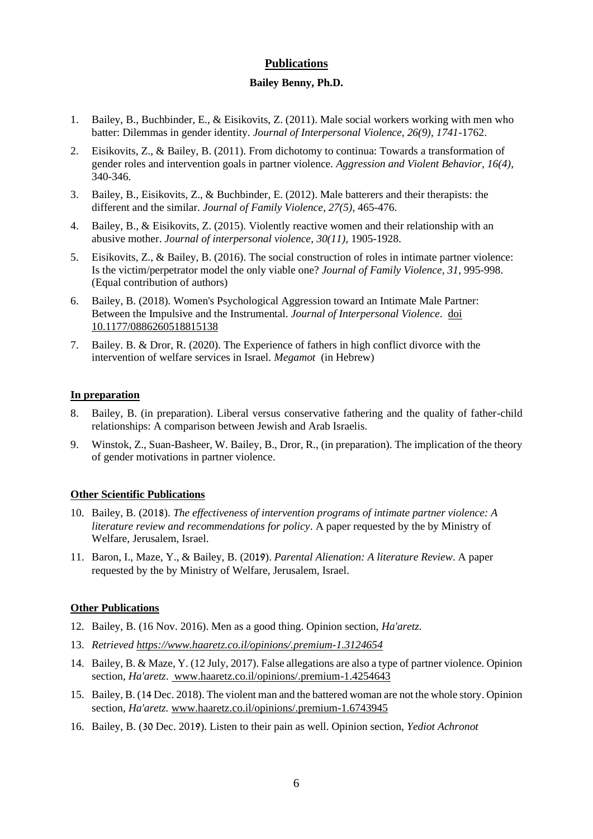### **Publications**

#### **Bailey Benny, Ph.D.**

- 1. Bailey, B., Buchbinder, E., & Eisikovits, Z. (2011). Male social workers working with men who batter: Dilemmas in gender identity. *Journal of Interpersonal Violence, 26(9), 1741-*1762.
- 2. Eisikovits, Z., & Bailey, B. (2011). From dichotomy to continua: Towards a transformation of gender roles and intervention goals in partner violence. *Aggression and Violent Behavior, 16(4)*, 340-346.
- 3. Bailey, B., Eisikovits, Z., & Buchbinder, E. (2012). Male batterers and their therapists: the different and the similar. *Journal of Family Violence, 27(5)*, 465-476.
- 4. Bailey, B., & Eisikovits, Z. (2015). Violently reactive women and their relationship with an abusive mother. *Journal of interpersonal violence*, *30(11),* 1905-1928.
- 5. Eisikovits, Z., & Bailey, B. (2016). The social construction of roles in intimate partner violence: Is the victim/perpetrator model the only viable one? *Journal of Family Violence, 31*, 995-998. (Equal contribution of authors)
- 6. Bailey, B. (2018). Women's Psychological Aggression toward an Intimate Male Partner: Between the Impulsive and the Instrumental. *Journal of Interpersonal Violence*. [doi](https://doi-org.ezproxy.haifa.ac.il/10.1177%2F0886260518815138) [10.1177/0886260518815138](https://doi-org.ezproxy.haifa.ac.il/10.1177%2F0886260518815138)
- 7. Bailey. B. & Dror, R. (2020). The Experience of fathers in high conflict divorce with the intervention of welfare services in Israel. *Megamot* (in Hebrew)

#### **In preparation**

- 8. Bailey, B. (in preparation). Liberal versus conservative fathering and the quality of father-child relationships: A comparison between Jewish and Arab Israelis.
- 9. Winstok, Z., Suan-Basheer, W. Bailey, B., Dror, R., (in preparation). The implication of the theory of gender motivations in partner violence.

### **Other Scientific Publications**

- 10. Bailey, B. (2018). *The effectiveness of intervention programs of intimate partner violence: A literature review and recommendations for policy*. A paper requested by the by Ministry of Welfare, Jerusalem, Israel.
- 11. Baron, I., Maze, Y., & Bailey, B. (2019). *Parental Alienation: A literature Review*. A paper requested by the by Ministry of Welfare, Jerusalem, Israel.

### **Other Publications**

- 12. Bailey, B. (16 Nov. 2016). Men as a good thing. Opinion section, *Ha'aretz.*
- 13. *Retrieved<https://www.haaretz.co.il/opinions/.premium-1.3124654>*
- 14. Bailey, B. & Maze, Y. (12 July, 2017). False allegations are also a type of partner violence. Opinion section, *Ha'aretz*. www.haaretz.co.il/opinions/.premium-1.4254643
- 15. Bailey, B. (14 Dec. 2018). The violent man and the battered woman are not the whole story. Opinion section, *Ha'aretz.* [www.haaretz.co.il/opinions/.premium-1.6743945](http://www.haaretz.co.il/opinions/.premium-1.6743945)
- 16. Bailey, B. (30 Dec. 2019). Listen to their pain as well. Opinion section, *Yediot Achronot*